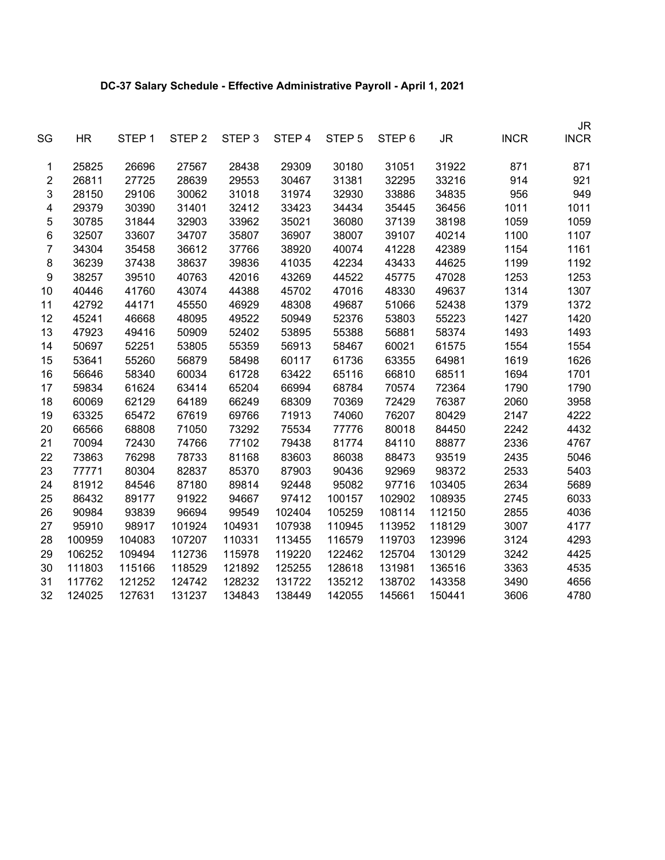## **DC-37 Salary Schedule - Effective Administrative Payroll - April 1, 2021**

| SG               | <b>HR</b> | STEP 1 | STEP <sub>2</sub> | STEP <sub>3</sub> | STEP 4 | STEP <sub>5</sub> | STEP <sub>6</sub> | <b>JR</b> | <b>INCR</b> | <b>JR</b><br><b>INCR</b> |
|------------------|-----------|--------|-------------------|-------------------|--------|-------------------|-------------------|-----------|-------------|--------------------------|
| 1                | 25825     | 26696  | 27567             | 28438             | 29309  | 30180             | 31051             | 31922     | 871         | 871                      |
| $\overline{2}$   | 26811     | 27725  | 28639             | 29553             | 30467  | 31381             | 32295             | 33216     | 914         | 921                      |
| 3                | 28150     | 29106  | 30062             | 31018             | 31974  | 32930             | 33886             | 34835     | 956         | 949                      |
| 4                | 29379     | 30390  | 31401             | 32412             | 33423  | 34434             | 35445             | 36456     | 1011        | 1011                     |
| 5                | 30785     | 31844  | 32903             | 33962             | 35021  | 36080             | 37139             | 38198     | 1059        | 1059                     |
| 6                | 32507     | 33607  | 34707             | 35807             | 36907  | 38007             | 39107             | 40214     | 1100        | 1107                     |
| $\boldsymbol{7}$ | 34304     | 35458  | 36612             | 37766             | 38920  | 40074             | 41228             | 42389     | 1154        | 1161                     |
| 8                | 36239     | 37438  | 38637             | 39836             | 41035  | 42234             | 43433             | 44625     | 1199        | 1192                     |
| 9                | 38257     | 39510  | 40763             | 42016             | 43269  | 44522             | 45775             | 47028     | 1253        | 1253                     |
| 10               | 40446     | 41760  | 43074             | 44388             | 45702  | 47016             | 48330             | 49637     | 1314        | 1307                     |
| 11               | 42792     | 44171  | 45550             | 46929             | 48308  | 49687             | 51066             | 52438     | 1379        | 1372                     |
| 12               | 45241     | 46668  | 48095             | 49522             | 50949  | 52376             | 53803             | 55223     | 1427        | 1420                     |
| 13               | 47923     | 49416  | 50909             | 52402             | 53895  | 55388             | 56881             | 58374     | 1493        | 1493                     |
| 14               | 50697     | 52251  | 53805             | 55359             | 56913  | 58467             | 60021             | 61575     | 1554        | 1554                     |
| 15               | 53641     | 55260  | 56879             | 58498             | 60117  | 61736             | 63355             | 64981     | 1619        | 1626                     |
| 16               | 56646     | 58340  | 60034             | 61728             | 63422  | 65116             | 66810             | 68511     | 1694        | 1701                     |
| 17               | 59834     | 61624  | 63414             | 65204             | 66994  | 68784             | 70574             | 72364     | 1790        | 1790                     |
| 18               | 60069     | 62129  | 64189             | 66249             | 68309  | 70369             | 72429             | 76387     | 2060        | 3958                     |
| 19               | 63325     | 65472  | 67619             | 69766             | 71913  | 74060             | 76207             | 80429     | 2147        | 4222                     |
| 20               | 66566     | 68808  | 71050             | 73292             | 75534  | 77776             | 80018             | 84450     | 2242        | 4432                     |
| 21               | 70094     | 72430  | 74766             | 77102             | 79438  | 81774             | 84110             | 88877     | 2336        | 4767                     |
| 22               | 73863     | 76298  | 78733             | 81168             | 83603  | 86038             | 88473             | 93519     | 2435        | 5046                     |
| 23               | 77771     | 80304  | 82837             | 85370             | 87903  | 90436             | 92969             | 98372     | 2533        | 5403                     |
| 24               | 81912     | 84546  | 87180             | 89814             | 92448  | 95082             | 97716             | 103405    | 2634        | 5689                     |
| 25               | 86432     | 89177  | 91922             | 94667             | 97412  | 100157            | 102902            | 108935    | 2745        | 6033                     |
| 26               | 90984     | 93839  | 96694             | 99549             | 102404 | 105259            | 108114            | 112150    | 2855        | 4036                     |
| 27               | 95910     | 98917  | 101924            | 104931            | 107938 | 110945            | 113952            | 118129    | 3007        | 4177                     |
| 28               | 100959    | 104083 | 107207            | 110331            | 113455 | 116579            | 119703            | 123996    | 3124        | 4293                     |
| 29               | 106252    | 109494 | 112736            | 115978            | 119220 | 122462            | 125704            | 130129    | 3242        | 4425                     |
| 30               | 111803    | 115166 | 118529            | 121892            | 125255 | 128618            | 131981            | 136516    | 3363        | 4535                     |
| 31               | 117762    | 121252 | 124742            | 128232            | 131722 | 135212            | 138702            | 143358    | 3490        | 4656                     |
| 32               | 124025    | 127631 | 131237            | 134843            | 138449 | 142055            | 145661            | 150441    | 3606        | 4780                     |